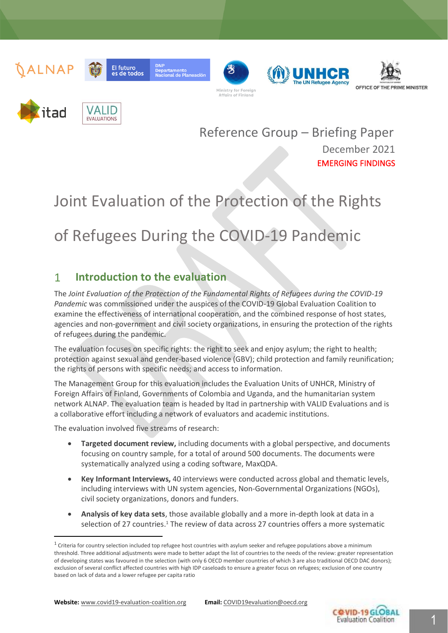













**El futuro** 

es de todos

Reference Group – Briefing Paper December 2021 EMERGING FINDINGS

# Joint Evaluation of the Protection of the Rights

# of Refugees During the COVID-19 Pandemic

#### $\mathbf{1}$ **Introduction to the evaluation**

The *Joint Evaluation of the Protection of the Fundamental Rights of Refugees during the COVID-19 Pandemic* was commissioned under the auspices of the COVID-19 Global Evaluation Coalition to examine the effectiveness of international cooperation, and the combined response of host states, agencies and non-government and civil society organizations, in ensuring the protection of the rights of refugees during the pandemic.

The evaluation focuses on specific rights: the right to seek and enjoy asylum; the right to health; protection against sexual and gender-based violence (GBV); child protection and family reunification; the rights of persons with specific needs; and access to information.

The Management Group for this evaluation includes the Evaluation Units of UNHCR, Ministry of Foreign Affairs of Finland, Governments of Colombia and Uganda, and the humanitarian system network ALNAP. The evaluation team is headed by Itad in partnership with VALID Evaluations and is a collaborative effort including a network of evaluators and academic institutions.

The evaluation involved five streams of research:

- **Targeted document review,** including documents with a global perspective, and documents focusing on country sample, for a total of around 500 documents. The documents were systematically analyzed using a coding software, MaxQDA.
- **Key Informant Interviews,** 40 interviews were conducted across global and thematic levels, including interviews with UN system agencies, Non-Governmental Organizations (NGOs), civil society organizations, donors and funders.
- **Analysis of key data sets**, those available globally and a more in-depth look at data in a selection of 27 countries.<sup>1</sup> The review of data across 27 countries offers a more systematic



 $1$  Criteria for country selection included top refugee host countries with asylum seeker and refugee populations above a minimum threshold. Three additional adjustments were made to better adapt the list of countries to the needs of the review: greater representation of developing states was favoured in the selection (with only 6 OECD member countries of which 3 are also traditional OECD DAC donors); exclusion of several conflict affected countries with high IDP caseloads to ensure a greater focus on refugees; exclusion of one country based on lack of data and a lower refugee per capita ratio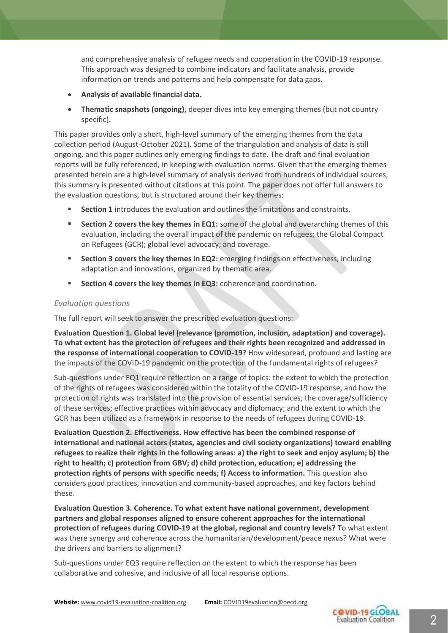and comprehensive analysis of refugee needs and cooperation in the COVID-19 response. This approach was designed to combine indicators and facilitate analysis, provide information on trends and patterns and help compensate for data gaps.

- **Analysis of available financial data.**
- **Thematic snapshots (ongoing),** deeper dives into key emerging themes (but not country specific).

This paper provides only a short, high-level summary of the emerging themes from the data collection period (August-October 2021). Some of the triangulation and analysis of data is still ongoing, and this paper outlines only emerging findings to date. The draft and final evaluation reports will be fully referenced, in keeping with evaluation norms. Given that the emerging themes presented herein are a high-level summary of analysis derived from hundreds of individual sources, this summary is presented without citations at this point. The paper does not offer full answers to the evaluation questions, but is structured around their key themes:

- **Section 1** introduces the evaluation and outlines the limitations and constraints.
- **Section 2 covers the key themes in EQ1:** some of the global and overarching themes of this evaluation, including the overall impact of the pandemic on refugees; the Global Compact on Refugees (GCR); global level advocacy; and coverage.
- **EXECTED 3 COVETS the key themes in EQ2:** emerging findings on effectiveness, including adaptation and innovations, organized by thematic area.
- **EXECTION 4 COVERS the key themes in EQ3:** coherence and coordination.

#### *Evaluation questions*

The full report will seek to answer the prescribed evaluation questions:

**Evaluation Question 1. Global level (relevance (promotion, inclusion, adaptation) and coverage). To what extent has the protection of refugees and their rights been recognized and addressed in the response of international cooperation to COVID-19?** How widespread, profound and lasting are the impacts of the COVID-19 pandemic on the protection of the fundamental rights of refugees?

Sub-questions under EQ1 require reflection on a range of topics: the extent to which the protection of the rights of refugees was considered within the totality of the COVID-19 response, and how the protection of rights was translated into the provision of essential services; the coverage/sufficiency of these services; effective practices within advocacy and diplomacy; and the extent to which the GCR has been utilized as a framework in response to the needs of refugees during COVID-19.

**Evaluation Question 2. Effectiveness. How effective has been the combined response of international and national actors (states, agencies and civil society organizations) toward enabling refugees to realize their rights in the following areas: a) the right to seek and enjoy asylum; b) the right to health; c) protection from GBV; d) child protection, education; e) addressing the protection rights of persons with specific needs; f) Access to information.** This question also considers good practices, innovation and community-based approaches, and key factors behind these.

**Evaluation Question 3. Coherence. To what extent have national government, development partners and global responses aligned to ensure coherent approaches for the international protection of refugees during COVID-19 at the global, regional and country levels?** To what extent was there synergy and coherence across the humanitarian/development/peace nexus? What were the drivers and barriers to alignment?

Sub-questions under EQ3 require reflection on the extent to which the response has been collaborative and cohesive, and inclusive of all local response options.

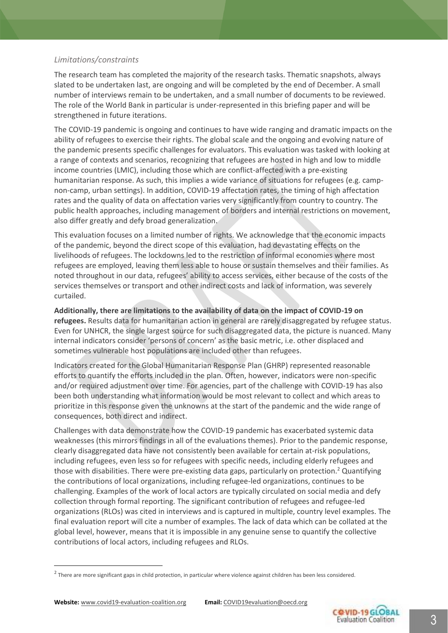#### *Limitations/constraints*

The research team has completed the majority of the research tasks. Thematic snapshots, always slated to be undertaken last, are ongoing and will be completed by the end of December. A small number of interviews remain to be undertaken, and a small number of documents to be reviewed. The role of the World Bank in particular is under-represented in this briefing paper and will be strengthened in future iterations.

The COVID-19 pandemic is ongoing and continues to have wide ranging and dramatic impacts on the ability of refugees to exercise their rights. The global scale and the ongoing and evolving nature of the pandemic presents specific challenges for evaluators. This evaluation was tasked with looking at a range of contexts and scenarios, recognizing that refugees are hosted in high and low to middle income countries (LMIC), including those which are conflict-affected with a pre-existing humanitarian response. As such, this implies a wide variance of situations for refugees (e.g. campnon-camp, urban settings). In addition, COVID-19 affectation rates, the timing of high affectation rates and the quality of data on affectation varies very significantly from country to country. The public health approaches, including management of borders and internal restrictions on movement, also differ greatly and defy broad generalization.

This evaluation focuses on a limited number of rights. We acknowledge that the economic impacts of the pandemic, beyond the direct scope of this evaluation, had devastating effects on the livelihoods of refugees. The lockdowns led to the restriction of informal economies where most refugees are employed, leaving them less able to house or sustain themselves and their families. As noted throughout in our data, refugees' ability to access services, either because of the costs of the services themselves or transport and other indirect costs and lack of information, was severely curtailed.

**Additionally, there are limitations to the availability of data on the impact of COVID-19 on refugees.** Results data for humanitarian action in general are rarely disaggregated by refugee status. Even for UNHCR, the single largest source for such disaggregated data, the picture is nuanced. Many internal indicators consider 'persons of concern' as the basic metric, i.e. other displaced and sometimes vulnerable host populations are included other than refugees.

Indicators created for the Global Humanitarian Response Plan (GHRP) represented reasonable efforts to quantify the efforts included in the plan. Often, however, indicators were non-specific and/or required adjustment over time. For agencies, part of the challenge with COVID-19 has also been both understanding what information would be most relevant to collect and which areas to prioritize in this response given the unknowns at the start of the pandemic and the wide range of consequences, both direct and indirect.

Challenges with data demonstrate how the COVID-19 pandemic has exacerbated systemic data weaknesses (this mirrors findings in all of the evaluations themes). Prior to the pandemic response, clearly disaggregated data have not consistently been available for certain at-risk populations, including refugees, even less so for refugees with specific needs, including elderly refugees and those with disabilities. There were pre-existing data gaps, particularly on protection.<sup>2</sup> Quantifying the contributions of local organizations, including refugee-led organizations, continues to be challenging. Examples of the work of local actors are typically circulated on social media and defy collection through formal reporting. The significant contribution of refugees and refugee-led organizations (RLOs) was cited in interviews and is captured in multiple, country level examples. The final evaluation report will cite a number of examples. The lack of data which can be collated at the global level, however, means that it is impossible in any genuine sense to quantify the collective contributions of local actors, including refugees and RLOs.



<sup>&</sup>lt;sup>2</sup> There are more significant gaps in child protection, in particular where violence against children has been less considered.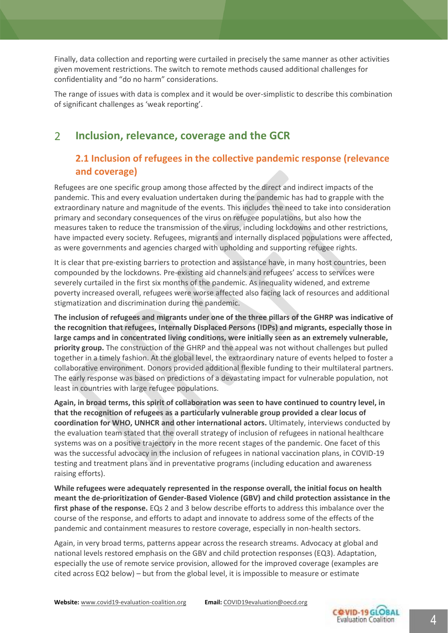Finally, data collection and reporting were curtailed in precisely the same manner as other activities given movement restrictions. The switch to remote methods caused additional challenges for confidentiality and "do no harm" considerations.

The range of issues with data is complex and it would be over-simplistic to describe this combination of significant challenges as 'weak reporting'.

#### $\overline{2}$ **Inclusion, relevance, coverage and the GCR**

### **2.1 Inclusion of refugees in the collective pandemic response (relevance and coverage)**

Refugees are one specific group among those affected by the direct and indirect impacts of the pandemic. This and every evaluation undertaken during the pandemic has had to grapple with the extraordinary nature and magnitude of the events. This includes the need to take into consideration primary and secondary consequences of the virus on refugee populations, but also how the measures taken to reduce the transmission of the virus, including lockdowns and other restrictions, have impacted every society. Refugees, migrants and internally displaced populations were affected, as were governments and agencies charged with upholding and supporting refugee rights.

It is clear that pre-existing barriers to protection and assistance have, in many host countries, been compounded by the lockdowns. Pre-existing aid channels and refugees' access to services were severely curtailed in the first six months of the pandemic. As inequality widened, and extreme poverty increased overall, refugees were worse affected also facing lack of resources and additional stigmatization and discrimination during the pandemic.

**The inclusion of refugees and migrants under one of the three pillars of the GHRP was indicative of the recognition that refugees, Internally Displaced Persons (IDPs) and migrants, especially those in large camps and in concentrated living conditions, were initially seen as an extremely vulnerable, priority group.** The construction of the GHRP and the appeal was not without challenges but pulled together in a timely fashion. At the global level, the extraordinary nature of events helped to foster a collaborative environment. Donors provided additional flexible funding to their multilateral partners. The early response was based on predictions of a devastating impact for vulnerable population, not least in countries with large refugee populations.

**Again, in broad terms, this spirit of collaboration was seen to have continued to country level, in that the recognition of refugees as a particularly vulnerable group provided a clear locus of coordination for WHO, UNHCR and other international actors.** Ultimately, interviews conducted by the evaluation team stated that the overall strategy of inclusion of refugees in national healthcare systems was on a positive trajectory in the more recent stages of the pandemic. One facet of this was the successful advocacy in the inclusion of refugees in national vaccination plans, in COVID-19 testing and treatment plans and in preventative programs (including education and awareness raising efforts).

**While refugees were adequately represented in the response overall, the initial focus on health meant the de-prioritization of Gender-Based Violence (GBV) and child protection assistance in the first phase of the response.** EQs 2 and 3 below describe efforts to address this imbalance over the course of the response, and efforts to adapt and innovate to address some of the effects of the pandemic and containment measures to restore coverage, especially in non-health sectors.

Again, in very broad terms, patterns appear across the research streams. Advocacy at global and national levels restored emphasis on the GBV and child protection responses (EQ3). Adaptation, especially the use of remote service provision, allowed for the improved coverage (examples are cited across EQ2 below) – but from the global level, it is impossible to measure or estimate

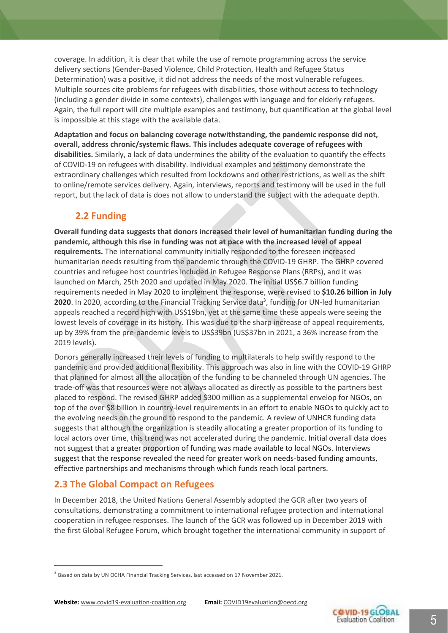coverage. In addition, it is clear that while the use of remote programming across the service delivery sections (Gender-Based Violence, Child Protection, Health and Refugee Status Determination) was a positive, it did not address the needs of the most vulnerable refugees. Multiple sources cite problems for refugees with disabilities, those without access to technology (including a gender divide in some contexts), challenges with language and for elderly refugees. Again, the full report will cite multiple examples and testimony, but quantification at the global level is impossible at this stage with the available data.

**Adaptation and focus on balancing coverage notwithstanding, the pandemic response did not, overall, address chronic/systemic flaws. This includes adequate coverage of refugees with disabilities.** Similarly, a lack of data undermines the ability of the evaluation to quantify the effects of COVID-19 on refugees with disability. Individual examples and testimony demonstrate the extraordinary challenges which resulted from lockdowns and other restrictions, as well as the shift to online/remote services delivery. Again, interviews, reports and testimony will be used in the full report, but the lack of data is does not allow to understand the subject with the adequate depth.

### **2.2 Funding**

**Overall funding data suggests that donors increased their level of humanitarian funding during the pandemic, although this rise in funding was not at pace with the increased level of appeal requirements.** The international community initially responded to the foreseen increased humanitarian needs resulting from the pandemic through the COVID-19 GHRP. The GHRP covered countries and refugee host countries included in Refugee Response Plans (RRPs), and it was launched on March, 25th 2020 and updated in May 2020. The initial US\$6.7 billion funding requirements needed in May 2020 to implement the response, were revised to **\$10.26 billion in July 2020**. In 2020, according to the Financial Tracking Service data<sup>3</sup>, funding for UN-led humanitarian appeals reached a record high with US\$19bn, yet at the same time these appeals were seeing the lowest levels of coverage in its history. This was due to the sharp increase of appeal requirements, up by 39% from the pre-pandemic levels to US\$39bn (US\$37bn in 2021, a 36% increase from the 2019 levels).

Donors generally increased their levels of funding to multilaterals to help swiftly respond to the pandemic and provided additional flexibility. This approach was also in line with the COVID-19 GHRP that planned for almost all the allocation of the funding to be channeled through UN agencies. The trade-off was that resources were not always allocated as directly as possible to the partners best placed to respond. The revised GHRP added \$300 million as a supplemental envelop for NGOs, on top of the over \$8 billion in country-level requirements in an effort to enable NGOs to quickly act to the evolving needs on the ground to respond to the pandemic. A review of UNHCR funding data suggests that although the organization is steadily allocating a greater proportion of its funding to local actors over time, this trend was not accelerated during the pandemic. Initial overall data does not suggest that a greater proportion of funding was made available to local NGOs. Interviews suggest that the response revealed the need for greater work on needs-based funding amounts, effective partnerships and mechanisms through which funds reach local partners.

#### **2.3 The Global Compact on Refugees**

In December 2018, the United Nations General Assembly adopted the GCR after two years of consultations, demonstrating a commitment to international refugee protection and international cooperation in refugee responses. The launch of the GCR was followed up in December 2019 with the first Global Refugee Forum, which brought together the international community in support of



<sup>&</sup>lt;sup>3</sup> Based on data by UN OCHA Financial Tracking Services, last accessed on 17 November 2021.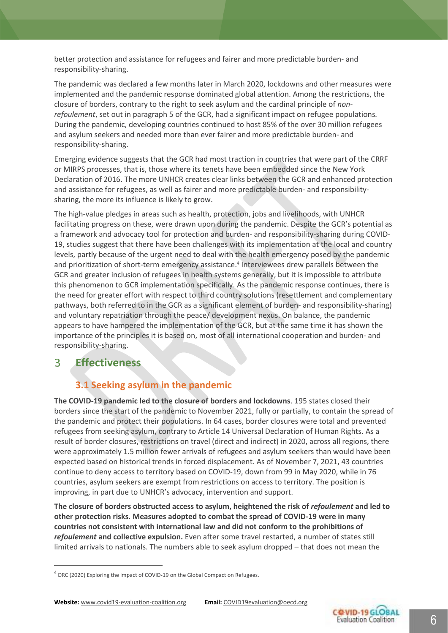better protection and assistance for refugees and fairer and more predictable burden- and responsibility-sharing.

The pandemic was declared a few months later in March 2020, lockdowns and other measures were implemented and the pandemic response dominated global attention. Among the restrictions, the closure of borders, contrary to the right to seek asylum and the cardinal principle of *nonrefoulement*, set out in paragraph 5 of the GCR, had a significant impact on refugee populations*.* During the pandemic, developing countries continued to host 85% of the over 30 million refugees and asylum seekers and needed more than ever fairer and more predictable burden- and responsibility-sharing.

Emerging evidence suggests that the GCR had most traction in countries that were part of the CRRF or MIRPS processes, that is, those where its tenets have been embedded since the New York Declaration of 2016. The more UNHCR creates clear links between the GCR and enhanced protection and assistance for refugees, as well as fairer and more predictable burden- and responsibilitysharing, the more its influence is likely to grow.

The high-value pledges in areas such as health, protection, jobs and livelihoods, with UNHCR facilitating progress on these, were drawn upon during the pandemic. Despite the GCR's potential as a framework and advocacy tool for protection and burden- and responsibility-sharing during COVID-19, studies suggest that there have been challenges with its implementation at the local and country levels, partly because of the urgent need to deal with the health emergency posed by the pandemic and prioritization of short-term emergency assistance. 4 Interviewees drew parallels between the GCR and greater inclusion of refugees in health systems generally, but it is impossible to attribute this phenomenon to GCR implementation specifically. As the pandemic response continues, there is the need for greater effort with respect to third country solutions (resettlement and complementary pathways, both referred to in the GCR as a significant element of burden- and responsibility-sharing) and voluntary repatriation through the peace/ development nexus. On balance, the pandemic appears to have hampered the implementation of the GCR, but at the same time it has shown the importance of the principles it is based on, most of all international cooperation and burden- and responsibility-sharing.

#### 3 **Effectiveness**

### **3.1 Seeking asylum in the pandemic**

**The COVID-19 pandemic led to the closure of borders and lockdowns**. 195 states closed their borders since the start of the pandemic to November 2021, fully or partially, to contain the spread of the pandemic and protect their populations. In 64 cases, border closures were total and prevented refugees from seeking asylum, contrary to Article 14 Universal Declaration of Human Rights. As a result of border closures, restrictions on travel (direct and indirect) in 2020, across all regions, there were approximately 1.5 million fewer arrivals of refugees and asylum seekers than would have been expected based on historical trends in forced displacement. As of November 7, 2021, 43 countries continue to deny access to territory based on COVID-19, down from 99 in May 2020, while in 76 countries, asylum seekers are exempt from restrictions on access to territory. The position is improving, in part due to UNHCR's advocacy, intervention and support.

**The closure of borders obstructed access to asylum, heightened the risk of** *refoulement* **and led to other protection risks. Measures adopted to combat the spread of COVID-19 were in many countries not consistent with international law and did not conform to the prohibitions of**  *refoulement* **and collective expulsion.** Even after some travel restarted, a number of states still limited arrivals to nationals. The numbers able to seek asylum dropped – that does not mean the



<sup>&</sup>lt;sup>4</sup> DRC (2020) Exploring the impact of COVID-19 on the Global Compact on Refugees.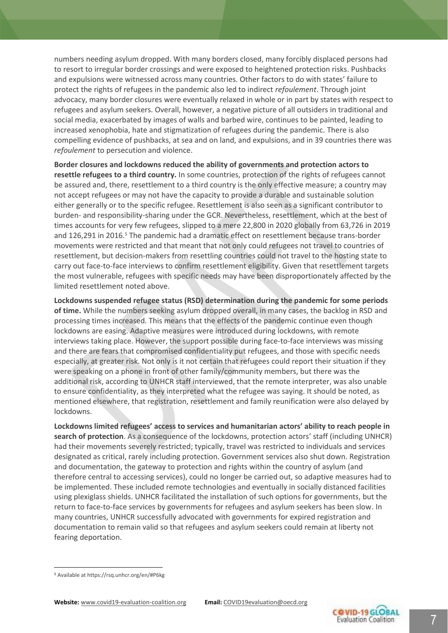numbers needing asylum dropped. With many borders closed, many forcibly displaced persons had to resort to irregular border crossings and were exposed to heightened protection risks. Pushbacks and expulsions were witnessed across many countries. Other factors to do with states' failure to protect the rights of refugees in the pandemic also led to indirect *refoulement*. Through joint advocacy, many border closures were eventually relaxed in whole or in part by states with respect to refugees and asylum seekers. Overall, however, a negative picture of all outsiders in traditional and social media, exacerbated by images of walls and barbed wire, continues to be painted, leading to increased xenophobia, hate and stigmatization of refugees during the pandemic[. There is also](https://t.co/r7yLD2NCYG)  [compelling evidence of pushbacks, at sea and on land, and expulsions, and in 39 countries there was](https://t.co/r7yLD2NCYG)  *refoulement* [to persecution and violence.](https://t.co/r7yLD2NCYG)

**Border closures and lockdowns reduced the ability of governments and protection actors to resettle refugees to a third country.** In some countries, protection of the rights of refugees cannot be assured and, there, resettlement to a third country is the only effective measure; a country may not accept refugees or may not have the capacity to provide a durable and sustainable solution either generally or to the specific refugee. Resettlement is also seen as a significant contributor to burden- and responsibility-sharing under the GCR. Nevertheless, resettlement, which at the best of times accounts for very few refugees, slipped to a mere 22,800 in 2020 globally from 63,726 in 2019 and 126,291 in 2016.<sup>5</sup> The pandemic had a dramatic effect on resettlement because trans-border movements were restricted and that meant that not only could refugees not travel to countries of resettlement, but decision-makers from resettling countries could not travel to the hosting state to carry out face-to-face interviews to confirm resettlement eligibility. Given that resettlement targets the most vulnerable, refugees with specific needs may have been disproportionately affected by the limited resettlement noted above.

**Lockdowns suspended refugee status (RSD) determination during the pandemic for some periods of time.** While the numbers seeking asylum dropped overall, in many cases, the backlog in RSD and processing times increased. This means that the effects of the pandemic continue even though lockdowns are easing. Adaptive measures were introduced during lockdowns, with remote interviews taking place. However, the support possible during face-to-face interviews was missing and there are fears that compromised confidentiality put refugees, and those with specific needs especially, at greater risk. Not only is it not certain that refugees could report their situation if they were speaking on a phone in front of other family/community members, but there was the additional risk, according to UNHCR staff interviewed, that the remote interpreter, was also unable to ensure confidentiality, as they interpreted what the refugee was saying. It should be noted, as mentioned elsewhere, that registration, resettlement and family reunification were also delayed by lockdowns.

**Lockdowns limited refugees' access to services and humanitarian actors' ability to reach people in search of protection**. As a consequence of the lockdowns, protection actors' staff (including UNHCR) had their movements severely restricted; typically, travel was restricted to individuals and services designated as critical, rarely including protection. Government services also shut down. Registration and documentation, the gateway to protection and rights within the country of asylum (and therefore central to accessing services), could no longer be carried out, so adaptive measures had to be implemented. These included remote technologies and eventually in socially distanced facilities using plexiglass shields. UNHCR facilitated the installation of such options for governments, but the return to face-to-face services by governments for refugees and asylum seekers has been slow. In many countries, UNHCR successfully advocated with governments for expired registration and documentation to remain valid so that refugees and asylum seekers could remain at liberty not fearing deportation.



<sup>5</sup> Available a[t https://rsq.unhcr.org/en/#P6kg](https://rsq.unhcr.org/en/#P6kg)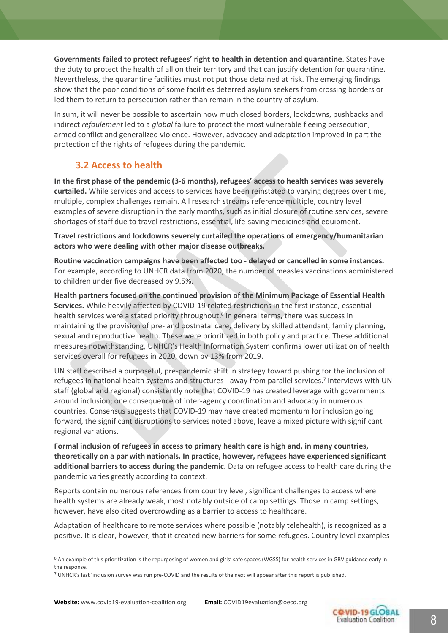**Governments failed to protect refugees' right to health in detention and quarantine**. States have the duty to protect the health of all on their territory and that can justify detention for quarantine. Nevertheless, the quarantine facilities must not put those detained at risk. The emerging findings show that the poor conditions of some facilities deterred asylum seekers from crossing borders or led them to return to persecution rather than remain in the country of asylum.

In sum, it will never be possible to ascertain how much closed borders, lockdowns, pushbacks and indirect *refoulement* led to a *global* failure to protect the most vulnerable fleeing persecution, armed conflict and generalized violence. However, advocacy and adaptation improved in part the protection of the rights of refugees during the pandemic.

### **3.2 Access to health**

**In the first phase of the pandemic (3-6 months), refugees' access to health services was severely curtailed.** While services and access to services have been reinstated to varying degrees over time, multiple, complex challenges remain. All research streams reference multiple, country level examples of severe disruption in the early months, such as initial closure of routine services, severe shortages of staff due to travel restrictions, essential, life-saving medicines and equipment.

**Travel restrictions and lockdowns severely curtailed the operations of emergency/humanitarian actors who were dealing with other major disease outbreaks.**

**Routine vaccination campaigns have been affected too - delayed or cancelled in some instances.**  For example, according to UNHCR data from 2020, the number of measles vaccinations administered to children under five decreased by 9.5%.

**Health partners focused on the continued provision of the Minimum Package of Essential Health Services.** While heavily affected by COVID-19 related restrictions in the first instance, essential health services were a stated priority throughout. 6 In general terms, there was success in maintaining the provision of pre- and postnatal care, delivery by skilled attendant, family planning, sexual and reproductive health. These were prioritized in both policy and practice. These additional measures notwithstanding, UNHCR's Health Information System confirms lower utilization of health services overall for refugees in 2020, down by 13% from 2019.

UN staff described a purposeful, pre-pandemic shift in strategy toward pushing for the inclusion of refugees in national health systems and structures - away from parallel services.<sup>7</sup> Interviews with UN staff (global and regional) consistently note that COVID-19 has created leverage with governments around inclusion; one consequence of inter-agency coordination and advocacy in numerous countries. Consensus suggests that COVID-19 may have created momentum for inclusion going forward, the significant disruptions to services noted above, leave a mixed picture with significant regional variations.

**Formal inclusion of refugees in access to primary health care is high and, in many countries, theoretically on a par with nationals. In practice, however, refugees have experienced significant additional barriers to access during the pandemic.** Data on refugee access to health care during the pandemic varies greatly according to context.

Reports contain numerous references from country level, significant challenges to access where health systems are already weak, most notably outside of camp settings. Those in camp settings, however, have also cited overcrowding as a barrier to access to healthcare.

Adaptation of healthcare to remote services where possible (notably telehealth), is recognized as a positive. It is clear, however, that it created new barriers for some refugees. Country level examples



<sup>&</sup>lt;sup>6</sup> An example of this prioritization is the repurposing of women and girls' safe spaces (WGSS) for health services in GBV guidance early in the response.

 $7$  UNHCR's last 'inclusion survey was run pre-COVID and the results of the next will appear after this report is published.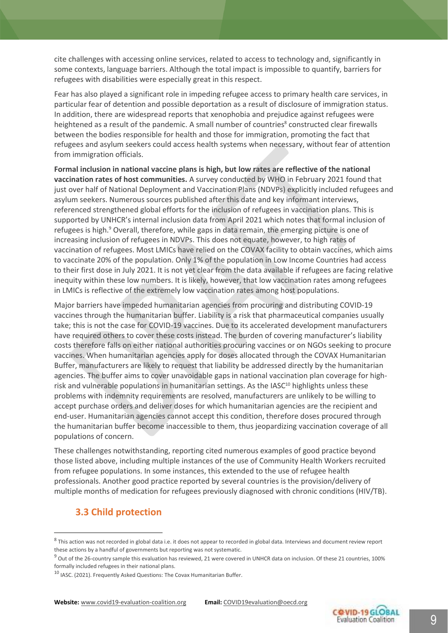cite challenges with accessing online services, related to access to technology and, significantly in some contexts, language barriers. Although the total impact is impossible to quantify, barriers for refugees with disabilities were especially great in this respect.

Fear has also played a significant role in impeding refugee access to primary health care services, in particular fear of detention and possible deportation as a result of disclosure of immigration status. In addition, there are widespread reports that xenophobia and prejudice against refugees were heightened as a result of the pandemic. A small number of countries<sup>8</sup> constructed clear firewalls between the bodies responsible for health and those for immigration, promoting the fact that refugees and asylum seekers could access health systems when necessary, without fear of attention from immigration officials.

**Formal inclusion in national vaccine plans is high, but low rates are reflective of the national vaccination rates of host communities.** A survey conducted by WHO in February 2021 found that just over half of National Deployment and Vaccination Plans (NDVPs) explicitly included refugees and asylum seekers. Numerous sources published after this date and key informant interviews, referenced strengthened global efforts for the inclusion of refugees in vaccination plans. This is supported by UNHCR's internal inclusion data from April 2021 which notes that formal inclusion of refugees is high. <sup>9</sup> Overall, therefore, while gaps in data remain, the emerging picture is one of increasing inclusion of refugees in NDVPs. This does not equate, however, to high rates of vaccination of refugees. Most LMICs have relied on the COVAX facility to obtain vaccines, which aims to vaccinate 20% of the population. Only 1% of the population in Low Income Countries had access to their first dose in July 2021. It is not yet clear from the data available if refugees are facing relative inequity within these low numbers. It is likely, however, that low vaccination rates among refugees in LMICs is reflective of the extremely low vaccination rates among host populations.

Major barriers have impeded humanitarian agencies from procuring and distributing COVID-19 vaccines through the humanitarian buffer. Liability is a risk that pharmaceutical companies usually take; this is not the case for COVID-19 vaccines. Due to its accelerated development manufacturers have required others to cover these costs instead. The burden of covering manufacturer's liability costs therefore falls on either national authorities procuring vaccines or on NGOs seeking to procure vaccines. When humanitarian agencies apply for doses allocated through the COVAX Humanitarian Buffer, manufacturers are likely to request that liability be addressed directly by the humanitarian agencies. The buffer aims to cover unavoidable gaps in national vaccination plan coverage for highrisk and vulnerable populations in humanitarian settings. As the IASC<sup>10</sup> highlights unless these problems with indemnity requirements are resolved, manufacturers are unlikely to be willing to accept purchase orders and deliver doses for which humanitarian agencies are the recipient and end-user. Humanitarian agencies cannot accept this condition, therefore doses procured through the humanitarian buffer become inaccessible to them, thus jeopardizing vaccination coverage of all populations of concern.

These challenges notwithstanding, reporting cited numerous examples of good practice beyond those listed above, including multiple instances of the use of Community Health Workers recruited from refugee populations. In some instances, this extended to the use of refugee health professionals. Another good practice reported by several countries is the provision/delivery of multiple months of medication for refugees previously diagnosed with chronic conditions (HIV/TB).

#### **3.3 Child protection**



 $8$  This action was not recorded in global data i.e. it does not appear to recorded in global data. Interviews and document review report these actions by a handful of governments but reporting was not systematic.

 $9$  Out of the 26-country sample this evaluation has reviewed, 21 were covered in UNHCR data on inclusion. Of these 21 countries, 100% formally included refugees in their national plans.

<sup>&</sup>lt;sup>10</sup> IASC. (2021). Frequently Asked Questions: The Covax Humanitarian Buffer.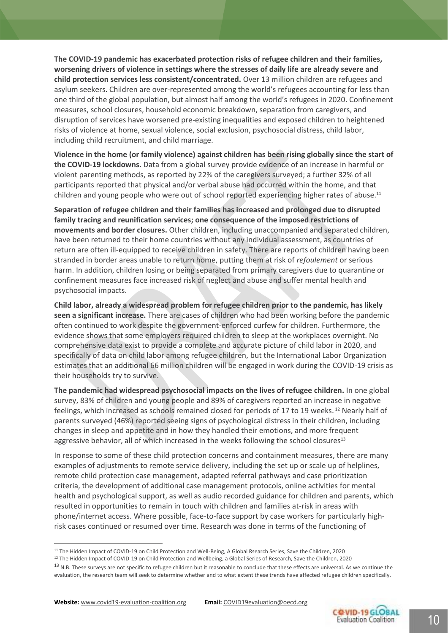**The COVID-19 pandemic has exacerbated protection risks of refugee children and their families, worsening drivers of violence in settings where the stresses of daily life are already severe and child protection services less consistent/concentrated.** Over 13 million children are refugees and asylum seekers. Children are over-represented among the world's refugees accounting for less than one third of the global population, but almost half among the world's refugees in 2020. Confinement measures, school closures, household economic breakdown, separation from caregivers, and disruption of services have worsened pre-existing inequalities and exposed children to heightened risks of violence at home, sexual violence, social exclusion, psychosocial distress, child labor, including child recruitment, and child marriage.

**Violence in the home (or family violence) against children has been rising globally since the start of the COVID-19 lockdowns.** Data from a global survey provide evidence of an increase in harmful or violent parenting methods, as reported by 22% of the caregivers surveyed; a further 32% of all participants reported that physical and/or verbal abuse had occurred within the home, and that children and young people who were out of school reported experiencing higher rates of abuse.<sup>11</sup>

**Separation of refugee children and their families has increased and prolonged due to disrupted family tracing and reunification services; one consequence of the imposed restrictions of movements and border closures.** Other children, including unaccompanied and separated children, have been returned to their home countries without any individual assessment, as countries of return are often ill-equipped to receive children in safety. There are reports of children having been stranded in border areas unable to return home, putting them at risk of *refoulement* or serious harm. In addition, children losing or being separated from primary caregivers due to quarantine or confinement measures face increased risk of neglect and abuse and suffer mental health and psychosocial impacts.

**Child labor, already a widespread problem for refugee children prior to the pandemic, has likely seen a significant increase.** There are cases of children who had been working before the pandemic often continued to work despite the government-enforced curfew for children. Furthermore, the evidence shows that some employers required children to sleep at the workplaces overnight. No comprehensive data exist to provide a complete and accurate picture of child labor in 2020, and specifically of data on child labor among refugee children, but the International Labor Organization estimates that an additional 66 million children will be engaged in work during the COVID-19 crisis as their households try to survive.

**The pandemic had widespread psychosocial impacts on the lives of refugee children.** In one global survey, 83% of children and young people and 89% of caregivers reported an increase in negative feelings, which increased as schools remained closed for periods of 17 to 19 weeks. <sup>12</sup> Nearly half of parents surveyed (46%) reported seeing signs of psychological distress in their children, including changes in sleep and appetite and in how they handled their emotions, and more frequent aggressive behavior, all of which increased in the weeks following the school closures $13$ 

In response to some of these child protection concerns and containment measures, there are many examples of adjustments to remote service delivery, including the set up or scale up of helplines, remote child protection case management, adapted referral pathways and case prioritization criteria, the development of additional case management protocols, online activities for mental health and psychological support, as well as audio recorded guidance for children and parents, which resulted in opportunities to remain in touch with children and families at-risk in areas with phone/internet access. Where possible, face-to-face support by case workers for particularly highrisk cases continued or resumed over time. Research was done in terms of the functioning of



<sup>&</sup>lt;sup>11</sup> The Hidden Impact of COVID-19 on Child Protection and Well-Being, A Global Rsearch Series, Save the Children, 2020

<sup>&</sup>lt;sup>12</sup> The Hidden Impact of COVID-19 on Child Protection and Wellbeing, a Global Series of Research, Save the Children, 2020

<sup>&</sup>lt;sup>13</sup> N.B. These surveys are not specific to refugee children but it reasonable to conclude that these effects are universal. As we continue the evaluation, the research team will seek to determine whether and to what extent these trends have affected refugee children specifically.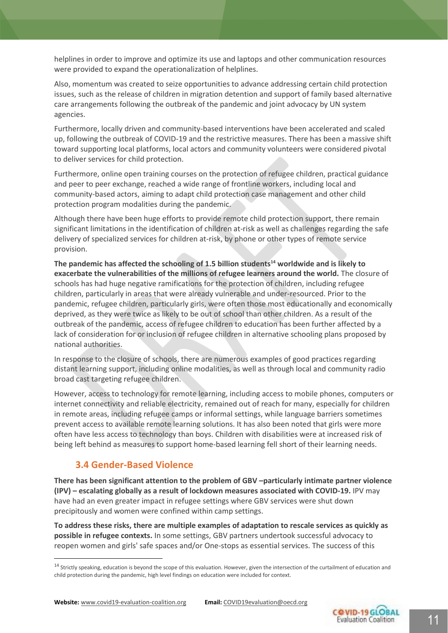helplines in order to improve and optimize its use and laptops and other communication resources were provided to expand the operationalization of helplines.

Also, momentum was created to seize opportunities to advance addressing certain child protection issues, such as the release of children in migration detention and support of family based alternative care arrangements following the outbreak of the pandemic and joint advocacy by UN system agencies.

Furthermore, locally driven and community-based interventions have been accelerated and scaled up, following the outbreak of COVID-19 and the restrictive measures. There has been a massive shift toward supporting local platforms, local actors and community volunteers were considered pivotal to deliver services for child protection.

Furthermore, online open training courses on the protection of refugee children, practical guidance and peer to peer exchange, reached a wide range of frontline workers, including local and community-based actors, aiming to adapt child protection case management and other child protection program modalities during the pandemic.

Although there have been huge efforts to provide remote child protection support, there remain significant limitations in the identification of children at-risk as well as challenges regarding the safe delivery of specialized services for children at-risk, by phone or other types of remote service provision.

**The pandemic has affected the schooling of 1.5 billion students<sup>14</sup> worldwide and is likely to exacerbate the vulnerabilities of the millions of refugee learners around the world.** The closure of schools has had huge negative ramifications for the protection of children, including refugee children, particularly in areas that were already vulnerable and under-resourced. Prior to the pandemic, refugee children, particularly girls, were often those most educationally and economically deprived, as they were twice as likely to be out of school than other children. As a result of the outbreak of the pandemic, access of refugee children to education has been further affected by a lack of consideration for or inclusion of refugee children in alternative schooling plans proposed by national authorities.

In response to the closure of schools, there are numerous examples of good practices regarding distant learning support, including online modalities, as well as through local and community radio broad cast targeting refugee children.

However, access to technology for remote learning, including access to mobile phones, computers or internet connectivity and reliable electricity, remained out of reach for many, especially for children in remote areas, including refugee camps or informal settings, while language barriers sometimes prevent access to available remote learning solutions. It has also been noted that girls were more often have less access to technology than boys. Children with disabilities were at increased risk of being left behind as measures to support home-based learning fell short of their learning needs.

#### **3.4 Gender-Based Violence**

**There has been significant attention to the problem of GBV –particularly intimate partner violence (IPV) – escalating globally as a result of lockdown measures associated with COVID-19.** IPV may have had an even greater impact in refugee settings where GBV services were shut down precipitously and women were confined within camp settings.

**To address these risks, there are multiple examples of adaptation to rescale services as quickly as possible in refugee contexts.** In some settings, GBV partners undertook successful advocacy to reopen women and girls' safe spaces and/or One-stops as essential services. The success of this



<sup>&</sup>lt;sup>14</sup> Strictly speaking, education is beyond the scope of this evaluation. However, given the intersection of the curtailment of education and child protection during the pandemic, high level findings on education were included for context.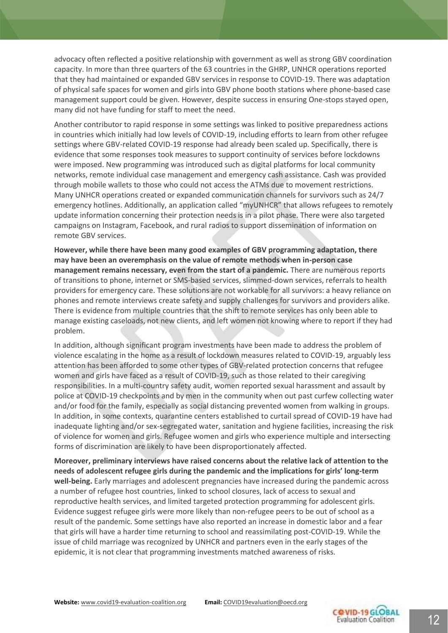advocacy often reflected a positive relationship with government as well as strong GBV coordination capacity. In more than three quarters of the 63 countries in the GHRP, UNHCR operations reported that they had maintained or expanded GBV services in response to COVID-19. There was adaptation of physical safe spaces for women and girls into GBV phone booth stations where phone-based case management support could be given. However, despite success in ensuring One-stops stayed open, many did not have funding for staff to meet the need.

Another contributor to rapid response in some settings was linked to positive preparedness actions in countries which initially had low levels of COVID-19, including efforts to learn from other refugee settings where GBV-related COVID-19 response had already been scaled up. Specifically, there is evidence that some responses took measures to support continuity of services before lockdowns were imposed. New programming was introduced such as digital platforms for local community networks, remote individual case management and emergency cash assistance. Cash was provided through mobile wallets to those who could not access the ATMs due to movement restrictions. Many UNHCR operations created or expanded communication channels for survivors such as 24/7 emergency hotlines. Additionally, an application called "myUNHCR" that allows refugees to remotely update information concerning their protection needs is in a pilot phase. There were also targeted campaigns on Instagram, Facebook, and rural radios to support dissemination of information on remote GBV services.

**However, while there have been many good examples of GBV programming adaptation, there may have been an overemphasis on the value of remote methods when in-person case management remains necessary, even from the start of a pandemic.** There are numerous reports of transitions to phone, internet or SMS-based services, slimmed-down services, referrals to health providers for emergency care. These solutions are not workable for all survivors: a heavy reliance on phones and remote interviews create safety and supply challenges for survivors and providers alike. There is evidence from multiple countries that the shift to remote services has only been able to manage existing caseloads, not new clients, and left women not knowing where to report if they had problem.

In addition, although significant program investments have been made to address the problem of violence escalating in the home as a result of lockdown measures related to COVID-19, arguably less attention has been afforded to some other types of GBV-related protection concerns that refugee women and girls have faced as a result of COVID-19, such as those related to their caregiving responsibilities. In a multi-country safety audit, women reported sexual harassment and assault by police at COVID-19 checkpoints and by men in the community when out past curfew collecting water and/or food for the family, especially as social distancing prevented women from walking in groups. In addition, in some contexts, quarantine centers established to curtail spread of COVID-19 have had inadequate lighting and/or sex-segregated water, sanitation and hygiene facilities, increasing the risk of violence for women and girls. Refugee women and girls who experience multiple and intersecting forms of discrimination are likely to have been disproportionately affected.

**Moreover, preliminary interviews have raised concerns about the relative lack of attention to the needs of adolescent refugee girls during the pandemic and the implications for girls' long-term well-being.** Early marriages and adolescent pregnancies have increased during the pandemic across a number of refugee host countries, linked to school closures, lack of access to sexual and reproductive health services, and limited targeted protection programming for adolescent girls. Evidence suggest refugee girls were more likely than non-refugee peers to be out of school as a result of the pandemic. Some settings have also reported an increase in domestic labor and a fear that girls will have a harder time returning to school and reassimilating post-COVID-19. While the issue of child marriage was recognized by UNHCR and partners even in the early stages of the epidemic, it is not clear that programming investments matched awareness of risks.

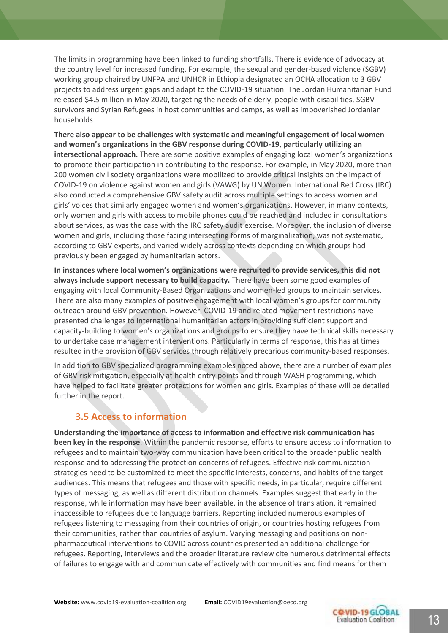The limits in programming have been linked to funding shortfalls. There is evidence of advocacy at the country level for increased funding. For example, the sexual and gender-based violence (SGBV) working group chaired by UNFPA and UNHCR in Ethiopia designated an OCHA allocation to 3 GBV projects to address urgent gaps and adapt to the COVID-19 situation. The Jordan Humanitarian Fund released \$4.5 million in May 2020, targeting the needs of elderly, people with disabilities, SGBV survivors and Syrian Refugees in host communities and camps, as well as impoverished Jordanian households.

**There also appear to be challenges with systematic and meaningful engagement of local women and women's organizations in the GBV response during COVID-19, particularly utilizing an intersectional approach.** There are some positive examples of engaging local women's organizations to promote their participation in contributing to the response. For example, in May 2020, more than 200 women civil society organizations were mobilized to provide critical insights on the impact of COVID-19 on violence against women and girls (VAWG) by UN Women. International Red Cross (IRC) also conducted a comprehensive GBV safety audit across multiple settings to access women and girls' voices that similarly engaged women and women's organizations. However, in many contexts, only women and girls with access to mobile phones could be reached and included in consultations about services, as was the case with the IRC safety audit exercise. Moreover, the inclusion of diverse women and girls, including those facing intersecting forms of marginalization, was not systematic, according to GBV experts, and varied widely across contexts depending on which groups had previously been engaged by humanitarian actors.

**In instances where local women's organizations were recruited to provide services, this did not always include support necessary to build capacity.** There have been some good examples of engaging with local Community-Based Organizations and women-led groups to maintain services. There are also many examples of positive engagement with local women's groups for community outreach around GBV prevention. However, COVID-19 and related movement restrictions have presented challenges to international humanitarian actors in providing sufficient support and capacity-building to women's organizations and groups to ensure they have technical skills necessary to undertake case management interventions. Particularly in terms of response, this has at times resulted in the provision of GBV services through relatively precarious community-based responses.

In addition to GBV specialized programming examples noted above, there are a number of examples of GBV risk mitigation, especially at health entry points and through WASH programming, which have helped to facilitate greater protections for women and girls. Examples of these will be detailed further in the report.

#### **3.5 Access to information**

**Understanding the importance of access to information and effective risk communication has been key in the response**. Within the pandemic response, efforts to ensure access to information to refugees and to maintain two-way communication have been critical to the broader public health response and to addressing the protection concerns of refugees. Effective risk communication strategies need to be customized to meet the specific interests, concerns, and habits of the target audiences. This means that refugees and those with specific needs, in particular, require different types of messaging, as well as different distribution channels. Examples suggest that early in the response, while information may have been available, in the absence of translation, it remained inaccessible to refugees due to language barriers. Reporting included numerous examples of refugees listening to messaging from their countries of origin, or countries hosting refugees from their communities, rather than countries of asylum. Varying messaging and positions on nonpharmaceutical interventions to COVID across countries presented an additional challenge for refugees. Reporting, interviews and the broader literature review cite numerous detrimental effects of failures to engage with and communicate effectively with communities and find means for them

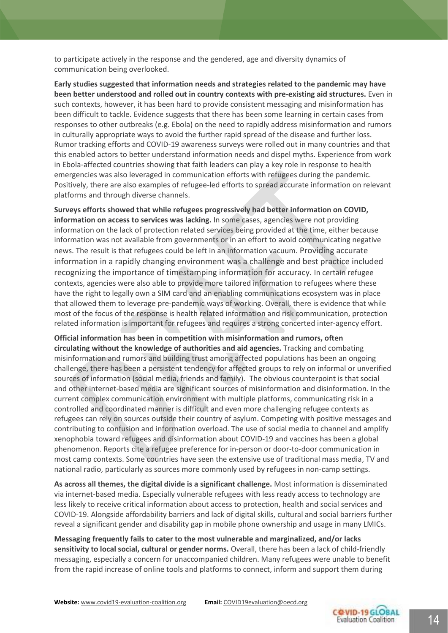to participate actively in the response and the gendered, age and diversity dynamics of communication being overlooked.

**Early studies suggested that information needs and strategies related to the pandemic may have been better understood and rolled out in country contexts with pre-existing aid structures.** Even in such contexts, however, it has been hard to provide consistent messaging and misinformation has been difficult to tackle. Evidence suggests that there has been some learning in certain cases from responses to other outbreaks (e.g. Ebola) on the need to rapidly address misinformation and rumors in culturally appropriate ways to avoid the further rapid spread of the disease and further loss. Rumor tracking efforts and COVID-19 awareness surveys were rolled out in many countries and that this enabled actors to better understand information needs and dispel myths. Experience from work in Ebola-affected countries showing that faith leaders can play a key role in response to health emergencies was also leveraged in communication efforts with refugees during the pandemic. Positively, there are also examples of refugee-led efforts to spread accurate information on relevant platforms and through diverse channels.

**Surveys efforts showed that while refugees progressively had better information on COVID, information on access to services was lacking.** In some cases, agencies were not providing information on the lack of protection related services being provided at the time, either because information was not available from governments or in an effort to avoid communicating negative news. The result is that refugees could be left in an information vacuum. Providing accurate information in a rapidly changing environment was a challenge and best practice included recognizing the importance of timestamping information for accuracy. In certain refugee contexts, agencies were also able to provide more tailored information to refugees where these have the right to legally own a SIM card and an enabling communications ecosystem was in place that allowed them to leverage pre-pandemic ways of working. Overall, there is evidence that while most of the focus of the response is health related information and risk communication, protection related information is important for refugees and requires a strong concerted inter-agency effort.

**Official information has been in competition with misinformation and rumors, often circulating without the knowledge of authorities and aid agencies.** Tracking and combating misinformation and rumors and building trust among affected populations has been an ongoing challenge, there has been a persistent tendency for affected groups to rely on informal or unverified sources of information (social media, friends and family). The obvious counterpoint is that social and other internet-based media are significant sources of misinformation and disinformation. In the current complex communication environment with multiple platforms, communicating risk in a controlled and coordinated manner is difficult and even more challenging refugee contexts as refugees can rely on sources outside their country of asylum. Competing with positive messages and contributing to confusion and information overload. The use of social media to channel and amplify xenophobia toward refugees and disinformation about COVID-19 and vaccines has been a global phenomenon. Reports cite a refugee preference for in-person or door-to-door communication in most camp contexts. Some countries have seen the extensive use of traditional mass media, TV and national radio, particularly as sources more commonly used by refugees in non-camp settings.

**As across all themes, the digital divide is a significant challenge.** Most information is disseminated via internet-based media. Especially vulnerable refugees with less ready access to technology are less likely to receive critical information about access to protection, health and social services and COVID-19. Alongside affordability barriers and lack of digital skills, cultural and social barriers further reveal a significant gender and disability gap in mobile phone ownership and usage in many LMICs.

**Messaging frequently fails to cater to the most vulnerable and marginalized, and/or lacks sensitivity to local social, cultural or gender norms.** Overall, there has been a lack of child-friendly messaging, especially a concern for unaccompanied children. Many refugees were unable to benefit from the rapid increase of online tools and platforms to connect, inform and support them during

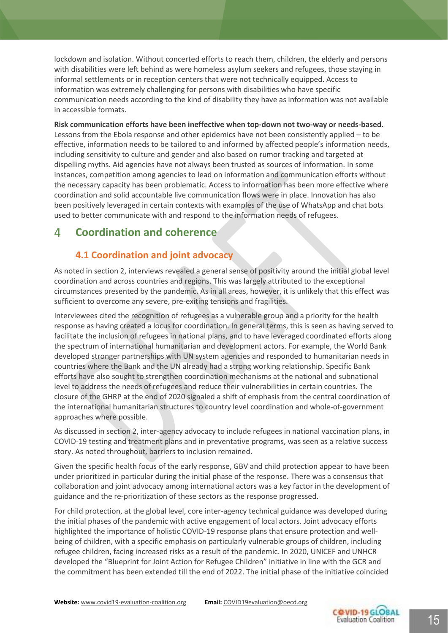lockdown and isolation. Without concerted efforts to reach them, children, the elderly and persons with disabilities were left behind as were homeless asylum seekers and refugees, those staying in informal settlements or in reception centers that were not technically equipped. Access to information was extremely challenging for persons with disabilities who have specific communication needs according to the kind of disability they have as information was not available in accessible formats.

**Risk communication efforts have been ineffective when top-down not two-way or needs-based.** Lessons from the Ebola response and other epidemics have not been consistently applied – to be effective, information needs to be tailored to and informed by affected people's information needs, including sensitivity to culture and gender and also based on rumor tracking and targeted at dispelling myths. Aid agencies have not always been trusted as sources of information. In some instances, competition among agencies to lead on information and communication efforts without the necessary capacity has been problematic. Access to information has been more effective where coordination and solid accountable live communication flows were in place. Innovation has also been positively leveraged in certain contexts with examples of the use of WhatsApp and chat bots used to better communicate with and respond to the information needs of refugees.

#### **Coordination and coherence**  $\boldsymbol{\varDelta}$

### **4.1 Coordination and joint advocacy**

As noted in section 2, interviews revealed a general sense of positivity around the initial global level coordination and across countries and regions. This was largely attributed to the exceptional circumstances presented by the pandemic. As in all areas, however, it is unlikely that this effect was sufficient to overcome any severe, pre-exiting tensions and fragilities.

Interviewees cited the recognition of refugees as a vulnerable group and a priority for the health response as having created a locus for coordination. In general terms, this is seen as having served to facilitate the inclusion of refugees in national plans, and to have leveraged coordinated efforts along the spectrum of international humanitarian and development actors. For example, the World Bank developed stronger partnerships with UN system agencies and responded to humanitarian needs in countries where the Bank and the UN already had a strong working relationship. Specific Bank efforts have also sought to strengthen coordination mechanisms at the national and subnational level to address the needs of refugees and reduce their vulnerabilities in certain countries. The closure of the GHRP at the end of 2020 signaled a shift of emphasis from the central coordination of the international humanitarian structures to country level coordination and whole-of-government approaches where possible.

As discussed in section 2, inter-agency advocacy to include refugees in national vaccination plans, in COVID-19 testing and treatment plans and in preventative programs, was seen as a relative success story. As noted throughout, barriers to inclusion remained.

Given the specific health focus of the early response, GBV and child protection appear to have been under prioritized in particular during the initial phase of the response. There was a consensus that collaboration and joint advocacy among international actors was a key factor in the development of guidance and the re-prioritization of these sectors as the response progressed.

For child protection, at the global level, core inter-agency technical guidance was developed during the initial phases of the pandemic with active engagement of local actors. Joint advocacy efforts highlighted the importance of holistic COVID-19 response plans that ensure protection and wellbeing of children, with a specific emphasis on particularly vulnerable groups of children, including refugee children, facing increased risks as a result of the pandemic. In 2020, UNICEF and UNHCR developed the "Blueprint for Joint Action for Refugee Children" initiative in line with the GCR and the commitment has been extended till the end of 2022. The initial phase of the initiative coincided

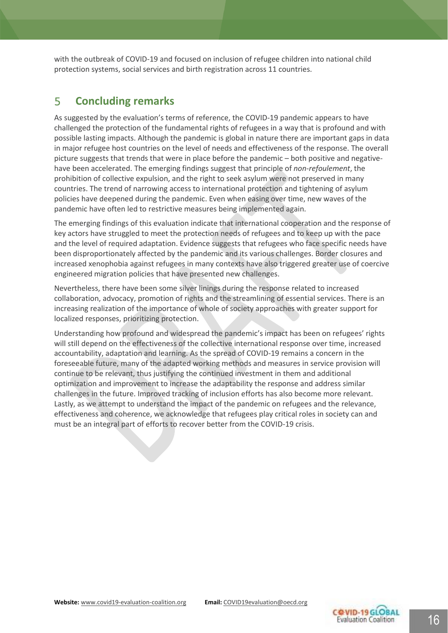with the outbreak of COVID-19 and focused on inclusion of refugee children into national child protection systems, social services and birth registration across 11 countries.

#### 5 **Concluding remarks**

As suggested by the evaluation's terms of reference, the COVID-19 pandemic appears to have challenged the protection of the fundamental rights of refugees in a way that is profound and with possible lasting impacts. Although the pandemic is global in nature there are important gaps in data in major refugee host countries on the level of needs and effectiveness of the response. The overall picture suggests that trends that were in place before the pandemic – both positive and negativehave been accelerated. The emerging findings suggest that principle of *non-refoulement*, the prohibition of collective expulsion, and the right to seek asylum were not preserved in many countries. The trend of narrowing access to international protection and tightening of asylum policies have deepened during the pandemic. Even when easing over time, new waves of the pandemic have often led to restrictive measures being implemented again.

The emerging findings of this evaluation indicate that international cooperation and the response of key actors have struggled to meet the protection needs of refugees and to keep up with the pace and the level of required adaptation. Evidence suggests that refugees who face specific needs have been disproportionately affected by the pandemic and its various challenges. Border closures and increased xenophobia against refugees in many contexts have also triggered greater use of coercive engineered migration policies that have presented new challenges.

Nevertheless, there have been some silver linings during the response related to increased collaboration, advocacy, promotion of rights and the streamlining of essential services. There is an increasing realization of the importance of whole of society approaches with greater support for localized responses, prioritizing protection.

Understanding how profound and widespread the pandemic's impact has been on refugees' rights will still depend on the effectiveness of the collective international response over time, increased accountability, adaptation and learning. As the spread of COVID-19 remains a concern in the foreseeable future, many of the adapted working methods and measures in service provision will continue to be relevant, thus justifying the continued investment in them and additional optimization and improvement to increase the adaptability the response and address similar challenges in the future. Improved tracking of inclusion efforts has also become more relevant. Lastly, as we attempt to understand the impact of the pandemic on refugees and the relevance, effectiveness and coherence, we acknowledge that refugees play critical roles in society can and must be an integral part of efforts to recover better from the COVID-19 crisis.